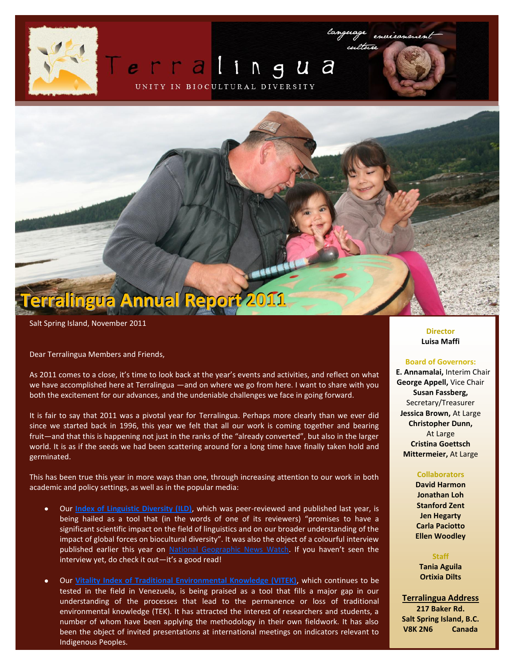# rralingua

UNITY IN BIOCULTURAL DIVERSITY



Salt Spring Island, November 2011

Dear Terralingua Members and Friends,

As 2011 comes to a close, it's time to look back at the year's events and activities, and reflect on what we have accomplished here at Terralingua —and on where we go from here. I want to share with you both the excitement for our advances, and the undeniable challenges we face in going forward.

It is fair to say that 2011 was a pivotal year for Terralingua. Perhaps more clearly than we ever did since we started back in 1996, this year we felt that all our work is coming together and bearing fruit—and that this is happening not just in the ranks of the "already converted", but also in the larger world. It is as if the seeds we had been scattering around for a long time have finally taken hold and germinated.

This has been true this year in more ways than one, through increasing attention to our work in both academic and policy settings, as well as in the popular media:

- Our **[Index of Linguistic Diversity \(ILD\)](http://www.terralingua.org/linguisticdiversity/)**, which was peer-reviewed and published last year, is being hailed as a tool that (in the words of one of its reviewers) "promises to have a significant scientific impact on the field of linguistics and on our broader understanding of the impact of global forces on biocultural diversity". It was also the object of a colourful interview published earlier this year on [National Geographic News Watch](http://newswatch.nationalgeographic.com/2011/03/01/language_diversity_index_tracks_global_loss_of_mother_tongues/). If you haven't seen the interview yet, do check it out—it's a good read!
- Our **[Vitality Index of Traditional Environmental Knowledge \(VITEK\)](http://www.terralingua.org/projects/vitek/vitek.htm)**, which continues to be  $\bullet$ tested in the field in Venezuela, is being praised as a tool that fills a major gap in our understanding of the processes that lead to the permanence or loss of traditional environmental knowledge (TEK). It has attracted the interest of researchers and students, a number of whom have been applying the methodology in their own fieldwork. It has also been the object of invited presentations at international meetings on indicators relevant to Indigenous Peoples.

#### **Director Luisa Maffi**

#### **Board of Governors:**

**E. Annamalai,** Interim Chair **George Appell,** Vice Chair **Susan Fassberg,**  Secretary/Treasurer **Jessica Brown,** At Large **Christopher Dunn,** At Large **Cristina Goettsch Mittermeier,** At Large

### **Collaborators**

**David Harmon Jonathan Loh Stanford Zent Jen Hegarty Carla Paciotto Ellen Woodley**

**Staff Tania Aguila Ortixia Dilts**

**Terralingua Address 217 Baker Rd. Salt Spring Island, B.C. V8K 2N6 Canada**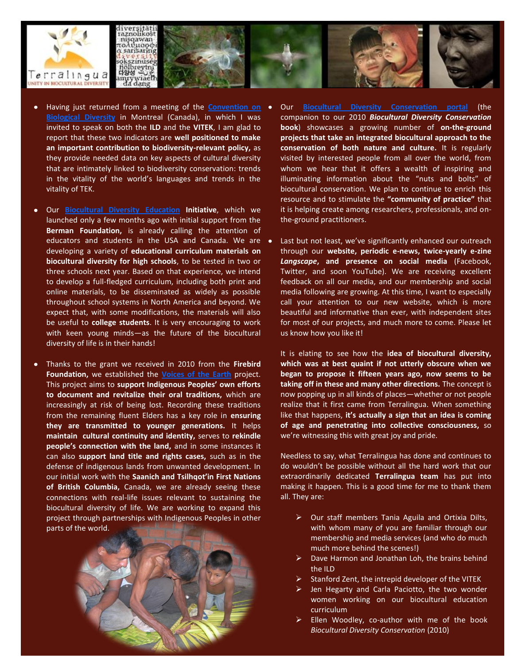

- Having just returned from a meeting of the **[Convention on](http://www.cbd.int/register/side-events/list.aspx?mtg=SBSTTA-15)  [Biological Diversity](http://www.cbd.int/register/side-events/list.aspx?mtg=SBSTTA-15)** in Montreal (Canada), in which I was invited to speak on both the **ILD** and the **VITEK**, I am glad to report that these two indicators are **well positioned to make an important contribution to biodiversity-relevant policy,** as they provide needed data on key aspects of cultural diversity that are intimately linked to biodiversity conservation: trends in the vitality of the world's languages and trends in the vitality of TEK.
- Our **[Biocultural Diversity Education](http://www.terralingua.org/work/bcd-education/) Initiative**, which we launched only a few months ago with initial support from the **Berman Foundation,** is already calling the attention of educators and students in the USA and Canada. We are  $\bullet$ developing a variety of **educational curriculum materials on biocultural diversity for high schools**, to be tested in two or three schools next year. Based on that experience, we intend to develop a full-fledged curriculum, including both print and online materials, to be disseminated as widely as possible throughout school systems in North America and beyond. We expect that, with some modifications, the materials will also be useful to **college students**. It is very encouraging to work with keen young minds—as the future of the biocultural diversity of life is in their hands!
- Thanks to the grant we received in 2010 from the **Firebird Foundation,** we established the **[Voices of the Earth](http://www.terralingua.org/voicesoftheearth/)** project. This project aims to **support Indigenous Peoples' own efforts to document and revitalize their oral traditions,** which are increasingly at risk of being lost. Recording these traditions from the remaining fluent Elders has a key role in **ensuring they are transmitted to younger generations.** It helps **maintain cultural continuity and identity,** serves to **rekindle people's connection with the land,** and in some instances it can also **support land title and rights cases,** such as in the defense of indigenous lands from unwanted development. In our initial work with the **Saanich and Tsilhqot'in First Nations of British Columbia,** Canada, we are already seeing these connections with real-life issues relevant to sustaining the biocultural diversity of life. We are working to expand this project through partnerships with Indigenous Peoples in other parts of the world.



- Our **[Biocultural Diversity Conservation portal](http://www.terralingua.org/bcdconservation/)** (the companion to our 2010 *Biocultural Diversity Conservation* **book**) showcases a growing number of **on-the-ground projects that take an integrated biocultural approach to the conservation of both nature and culture.** It is regularly visited by interested people from all over the world, from whom we hear that it offers a wealth of inspiring and illuminating information about the "nuts and bolts" of biocultural conservation. We plan to continue to enrich this resource and to stimulate the **"community of practice"** that it is helping create among researchers, professionals, and onthe-ground practitioners.
- Last but not least, we've significantly enhanced our outreach through our **website, periodic e-news, twice-yearly e-zine**  *Langscape***, and presence on social media** (Facebook, Twitter, and soon YouTube). We are receiving excellent feedback on all our media, and our membership and social media following are growing. At this time, I want to especially call your attention to our new website, which is more beautiful and informative than ever, with independent sites for most of our projects, and much more to come. Please let us know how you like it!

It is elating to see how the **idea of biocultural diversity, which was at best quaint if not utterly obscure when we began to propose it fifteen years ago, now seems to be taking off in these and many other directions.** The concept is now popping up in all kinds of places—whether or not people realize that it first came from Terralingua. When something like that happens, **it's actually a sign that an idea is coming of age and penetrating into collective consciousness,** so we're witnessing this with great joy and pride.

Needless to say, what Terralingua has done and continues to do wouldn't be possible without all the hard work that our extraordinarily dedicated **Terralingua team** has put into making it happen. This is a good time for me to thank them all. They are:

- $\triangleright$  Our staff members Tania Aguila and Ortixia Dilts, with whom many of you are familiar through our membership and media services (and who do much much more behind the scenes!)
- Dave Harmon and Jonathan Loh, the brains behind the ILD
- Stanford Zent, the intrepid developer of the VITEK
- Jen Hegarty and Carla Paciotto, the two wonder women working on our biocultural education curriculum
- Ellen Woodley, co-author with me of the book *Biocultural Diversity Conservation* (2010)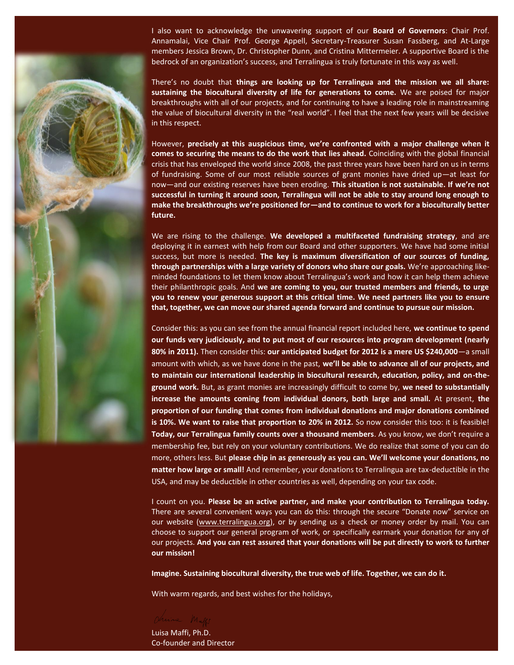I also want to acknowledge the unwavering support of our **Board of Governors**: Chair Prof. Annamalai, Vice Chair Prof. George Appell, Secretary-Treasurer Susan Fassberg, and At-Large members Jessica Brown, Dr. Christopher Dunn, and Cristina Mittermeier. A supportive Board is the bedrock of an organization's success, and Terralingua is truly fortunate in this way as well.

There's no doubt that **things are looking up for Terralingua and the mission we all share: sustaining the biocultural diversity of life for generations to come.** We are poised for major breakthroughs with all of our projects, and for continuing to have a leading role in mainstreaming the value of biocultural diversity in the "real world". I feel that the next few years will be decisive in this respect.

However, **precisely at this auspicious time, we're confronted with a major challenge when it comes to securing the means to do the work that lies ahead.** Coinciding with the global financial crisis that has enveloped the world since 2008, the past three years have been hard on us in terms of fundraising. Some of our most reliable sources of grant monies have dried up—at least for now—and our existing reserves have been eroding. **This situation is not sustainable. If we're not successful in turning it around soon, Terralingua will not be able to stay around long enough to make the breakthroughs we're positioned for—and to continue to work for a bioculturally better future.**

We are rising to the challenge. **We developed a multifaceted fundraising strategy**, and are deploying it in earnest with help from our Board and other supporters. We have had some initial success, but more is needed. **The key is maximum diversification of our sources of funding, through partnerships with a large variety of donors who share our goals.** We're approaching likeminded foundations to let them know about Terralingua's work and how it can help them achieve their philanthropic goals. And **we are coming to you, our trusted members and friends, to urge you to renew your generous support at this critical time. We need partners like you to ensure that, together, we can move our shared agenda forward and continue to pursue our mission.**

Consider this: as you can see from the annual financial report included here, **we continue to spend our funds very judiciously, and to put most of our resources into program development (nearly 80% in 2011).** Then consider this: **our anticipated budget for 2012 is a mere US \$240,000**—a small amount with which, as we have done in the past, **we'll be able to advance all of our projects, and to maintain our international leadership in biocultural research, education, policy, and on-theground work.** But, as grant monies are increasingly difficult to come by, **we need to substantially increase the amounts coming from individual donors, both large and small.** At present, **the proportion of our funding that comes from individual donations and major donations combined is 10%. We want to raise that proportion to 20% in 2012.** So now consider this too: it is feasible! **Today, our Terralingua family counts over a thousand members**. As you know, we don't require a membership fee, but rely on your voluntary contributions. We do realize that some of you can do more, others less. But **please chip in as generously as you can. We'll welcome your donations, no matter how large or small!** And remember, your donations to Terralingua are tax-deductible in the USA, and may be deductible in other countries as well, depending on your tax code.

I count on you. **Please be an active partner, and make your contribution to Terralingua today.** There are several convenient ways you can do this: through the secure "Donate now" service on our website [\(www.terralingua.org\)](http://www.terralingua.org/), or by sending us a check or money order by mail. You can choose to support our general program of work, or specifically earmark your donation for any of our projects. **And you can rest assured that your donations will be put directly to work to further our mission!**

**Imagine. Sustaining biocultural diversity, the true web of life. Together, we can do it.**

With warm regards, and best wishes for the holidays,

Juine M

Luisa Maffi, Ph.D. Co-founder and Director